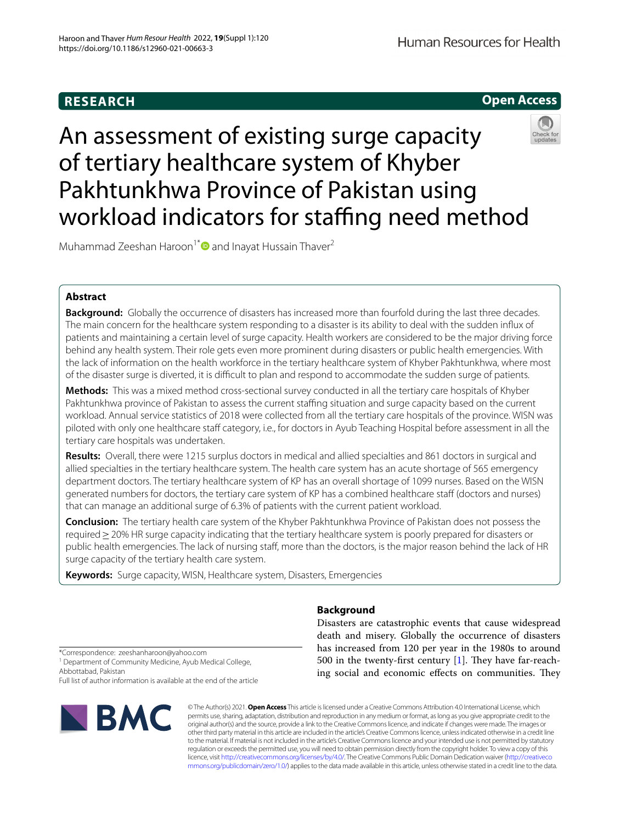## **RESEARCH**

**Open Access**

# An assessment of existing surge capacity of tertiary healthcare system of Khyber Pakhtunkhwa Province of Pakistan using workload indicators for staffing need method

Muhammad Zeeshan Haroon<sup>1[\\*](http://orcid.org/0000-0002-5313-5318)</sup> and Inayat Hussain Thaver<sup>2</sup>

## **Abstract**

**Background:** Globally the occurrence of disasters has increased more than fourfold during the last three decades. The main concern for the healthcare system responding to a disaster is its ability to deal with the sudden infux of patients and maintaining a certain level of surge capacity. Health workers are considered to be the major driving force behind any health system. Their role gets even more prominent during disasters or public health emergencies. With the lack of information on the health workforce in the tertiary healthcare system of Khyber Pakhtunkhwa, where most of the disaster surge is diverted, it is difficult to plan and respond to accommodate the sudden surge of patients.

**Methods:** This was a mixed method cross-sectional survey conducted in all the tertiary care hospitals of Khyber Pakhtunkhwa province of Pakistan to assess the current staffing situation and surge capacity based on the current workload. Annual service statistics of 2018 were collected from all the tertiary care hospitals of the province. WISN was piloted with only one healthcare staff category, i.e., for doctors in Ayub Teaching Hospital before assessment in all the tertiary care hospitals was undertaken.

**Results:** Overall, there were 1215 surplus doctors in medical and allied specialties and 861 doctors in surgical and allied specialties in the tertiary healthcare system. The health care system has an acute shortage of 565 emergency department doctors. The tertiary healthcare system of KP has an overall shortage of 1099 nurses. Based on the WISN generated numbers for doctors, the tertiary care system of KP has a combined healthcare staff (doctors and nurses) that can manage an additional surge of 6.3% of patients with the current patient workload.

**Conclusion:** The tertiary health care system of the Khyber Pakhtunkhwa Province of Pakistan does not possess the required≥20% HR surge capacity indicating that the tertiary healthcare system is poorly prepared for disasters or public health emergencies. The lack of nursing staff, more than the doctors, is the major reason behind the lack of HR surge capacity of the tertiary health care system.

**Keywords:** Surge capacity, WISN, Healthcare system, Disasters, Emergencies

## **Background**

Disasters are catastrophic events that cause widespread death and misery. Globally the occurrence of disasters has increased from 120 per year in the 1980s to around 500 in the twenty-first century  $[1]$ . They have far-reaching social and economic effects on communities. They

\*Correspondence: zeeshanharoon@yahoo.com <sup>1</sup> Department of Community Medicine, Ayub Medical College, Abbottabad, Pakistan

Full list of author information is available at the end of the article



© The Author(s) 2021. **Open Access** This article is licensed under a Creative Commons Attribution 4.0 International License, which permits use, sharing, adaptation, distribution and reproduction in any medium or format, as long as you give appropriate credit to the original author(s) and the source, provide a link to the Creative Commons licence, and indicate if changes were made. The images or other third party material in this article are included in the article's Creative Commons licence, unless indicated otherwise in a credit line to the material. If material is not included in the article's Creative Commons licence and your intended use is not permitted by statutory regulation or exceeds the permitted use, you will need to obtain permission directly from the copyright holder. To view a copy of this licence, visit [http://creativecommons.org/licenses/by/4.0/.](http://creativecommons.org/licenses/by/4.0/) The Creative Commons Public Domain Dedication waiver ([http://creativeco](http://creativecommons.org/publicdomain/zero/1.0/) [mmons.org/publicdomain/zero/1.0/](http://creativecommons.org/publicdomain/zero/1.0/)) applies to the data made available in this article, unless otherwise stated in a credit line to the data.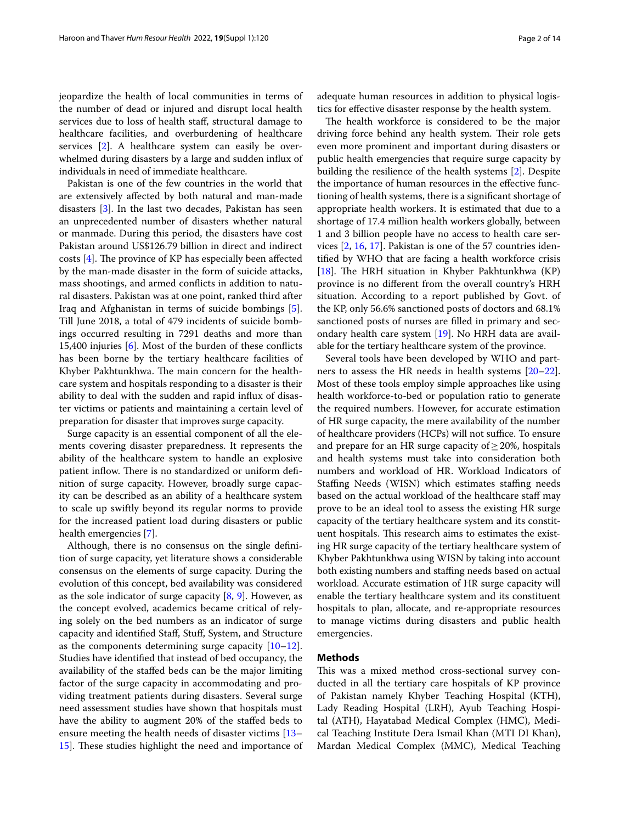jeopardize the health of local communities in terms of the number of dead or injured and disrupt local health services due to loss of health staf, structural damage to healthcare facilities, and overburdening of healthcare services [[2](#page-12-1)]. A healthcare system can easily be overwhelmed during disasters by a large and sudden infux of individuals in need of immediate healthcare.

Pakistan is one of the few countries in the world that are extensively afected by both natural and man-made disasters [[3\]](#page-12-2). In the last two decades, Pakistan has seen an unprecedented number of disasters whether natural or manmade. During this period, the disasters have cost Pakistan around US\$126.79 billion in direct and indirect costs  $[4]$  $[4]$ . The province of KP has especially been affected by the man-made disaster in the form of suicide attacks, mass shootings, and armed conficts in addition to natural disasters. Pakistan was at one point, ranked third after Iraq and Afghanistan in terms of suicide bombings [\[5](#page-12-4)]. Till June 2018, a total of 479 incidents of suicide bombings occurred resulting in 7291 deaths and more than 15,400 injuries [\[6](#page-12-5)]. Most of the burden of these conficts has been borne by the tertiary healthcare facilities of Khyber Pakhtunkhwa. The main concern for the healthcare system and hospitals responding to a disaster is their ability to deal with the sudden and rapid infux of disaster victims or patients and maintaining a certain level of preparation for disaster that improves surge capacity.

Surge capacity is an essential component of all the elements covering disaster preparedness. It represents the ability of the healthcare system to handle an explosive patient inflow. There is no standardized or uniform definition of surge capacity. However, broadly surge capacity can be described as an ability of a healthcare system to scale up swiftly beyond its regular norms to provide for the increased patient load during disasters or public health emergencies [[7\]](#page-12-6).

Although, there is no consensus on the single defnition of surge capacity, yet literature shows a considerable consensus on the elements of surge capacity. During the evolution of this concept, bed availability was considered as the sole indicator of surge capacity [[8,](#page-12-7) [9\]](#page-12-8). However, as the concept evolved, academics became critical of relying solely on the bed numbers as an indicator of surge capacity and identifed Staf, Stuf, System, and Structure as the components determining surge capacity [[10](#page-12-9)[–12](#page-12-10)]. Studies have identifed that instead of bed occupancy, the availability of the stafed beds can be the major limiting factor of the surge capacity in accommodating and providing treatment patients during disasters. Several surge need assessment studies have shown that hospitals must have the ability to augment 20% of the stafed beds to ensure meeting the health needs of disaster victims [[13–](#page-12-11) [15\]](#page-12-12). These studies highlight the need and importance of adequate human resources in addition to physical logistics for efective disaster response by the health system.

The health workforce is considered to be the major driving force behind any health system. Their role gets even more prominent and important during disasters or public health emergencies that require surge capacity by building the resilience of the health systems [[2\]](#page-12-1). Despite the importance of human resources in the efective functioning of health systems, there is a signifcant shortage of appropriate health workers. It is estimated that due to a shortage of 17.4 million health workers globally, between 1 and 3 billion people have no access to health care services [[2](#page-12-1), [16](#page-12-13), [17\]](#page-12-14). Pakistan is one of the 57 countries identifed by WHO that are facing a health workforce crisis [ $18$ ]. The HRH situation in Khyber Pakhtunkhwa (KP) province is no diferent from the overall country's HRH situation. According to a report published by Govt. of the KP, only 56.6% sanctioned posts of doctors and 68.1% sanctioned posts of nurses are flled in primary and secondary health care system [[19\]](#page-12-16). No HRH data are available for the tertiary healthcare system of the province.

Several tools have been developed by WHO and partners to assess the HR needs in health systems [[20](#page-12-17)[–22](#page-12-18)]. Most of these tools employ simple approaches like using health workforce-to-bed or population ratio to generate the required numbers. However, for accurate estimation of HR surge capacity, the mere availability of the number of healthcare providers (HCPs) will not suffice. To ensure and prepare for an HR surge capacity of  $\geq$  20%, hospitals and health systems must take into consideration both numbers and workload of HR. Workload Indicators of Staffing Needs (WISN) which estimates staffing needs based on the actual workload of the healthcare staff may prove to be an ideal tool to assess the existing HR surge capacity of the tertiary healthcare system and its constituent hospitals. This research aims to estimates the existing HR surge capacity of the tertiary healthcare system of Khyber Pakhtunkhwa using WISN by taking into account both existing numbers and stafng needs based on actual workload. Accurate estimation of HR surge capacity will enable the tertiary healthcare system and its constituent hospitals to plan, allocate, and re-appropriate resources to manage victims during disasters and public health emergencies.

### **Methods**

This was a mixed method cross-sectional survey conducted in all the tertiary care hospitals of KP province of Pakistan namely Khyber Teaching Hospital (KTH), Lady Reading Hospital (LRH), Ayub Teaching Hospital (ATH), Hayatabad Medical Complex (HMC), Medical Teaching Institute Dera Ismail Khan (MTI DI Khan), Mardan Medical Complex (MMC), Medical Teaching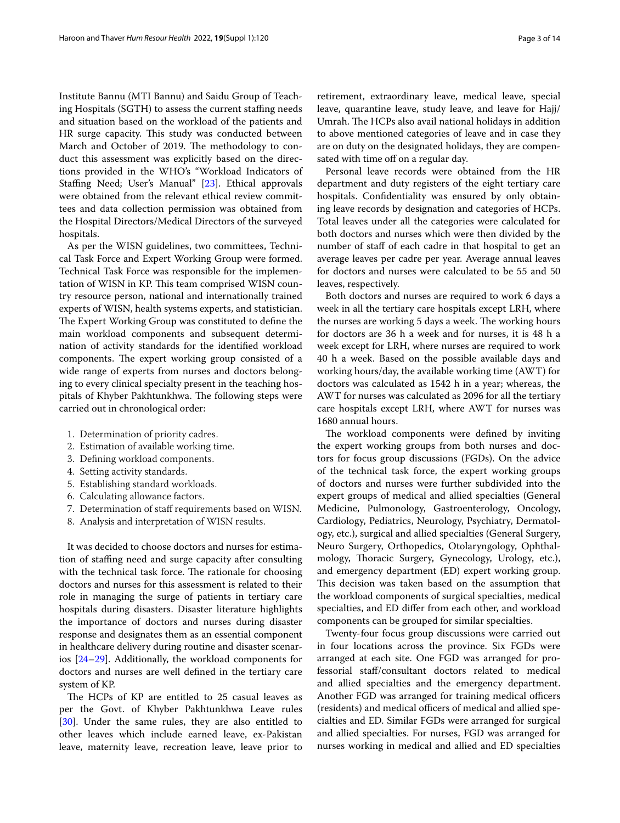Institute Bannu (MTI Bannu) and Saidu Group of Teaching Hospitals (SGTH) to assess the current stafng needs and situation based on the workload of the patients and HR surge capacity. This study was conducted between March and October of 2019. The methodology to conduct this assessment was explicitly based on the directions provided in the WHO's "Workload Indicators of Staffing Need; User's Manual" [[23\]](#page-12-19). Ethical approvals were obtained from the relevant ethical review committees and data collection permission was obtained from the Hospital Directors/Medical Directors of the surveyed hospitals.

As per the WISN guidelines, two committees, Technical Task Force and Expert Working Group were formed. Technical Task Force was responsible for the implementation of WISN in KP. This team comprised WISN country resource person, national and internationally trained experts of WISN, health systems experts, and statistician. The Expert Working Group was constituted to define the main workload components and subsequent determination of activity standards for the identifed workload components. The expert working group consisted of a wide range of experts from nurses and doctors belonging to every clinical specialty present in the teaching hospitals of Khyber Pakhtunkhwa. The following steps were carried out in chronological order:

- 1. Determination of priority cadres.
- 2. Estimation of available working time.
- 3. Defning workload components.
- 4. Setting activity standards.
- 5. Establishing standard workloads.
- 6. Calculating allowance factors.
- 7. Determination of staf requirements based on WISN.
- 8. Analysis and interpretation of WISN results.

It was decided to choose doctors and nurses for estimation of stafng need and surge capacity after consulting with the technical task force. The rationale for choosing doctors and nurses for this assessment is related to their role in managing the surge of patients in tertiary care hospitals during disasters. Disaster literature highlights the importance of doctors and nurses during disaster response and designates them as an essential component in healthcare delivery during routine and disaster scenarios [\[24](#page-12-20)–[29\]](#page-12-21). Additionally, the workload components for doctors and nurses are well defned in the tertiary care system of KP.

The HCPs of KP are entitled to 25 casual leaves as per the Govt. of Khyber Pakhtunkhwa Leave rules [[30\]](#page-12-22). Under the same rules, they are also entitled to other leaves which include earned leave, ex-Pakistan leave, maternity leave, recreation leave, leave prior to retirement, extraordinary leave, medical leave, special leave, quarantine leave, study leave, and leave for Hajj/ Umrah. The HCPs also avail national holidays in addition to above mentioned categories of leave and in case they are on duty on the designated holidays, they are compensated with time off on a regular day.

Personal leave records were obtained from the HR department and duty registers of the eight tertiary care hospitals. Confidentiality was ensured by only obtaining leave records by designation and categories of HCPs. Total leaves under all the categories were calculated for both doctors and nurses which were then divided by the number of staff of each cadre in that hospital to get an average leaves per cadre per year. Average annual leaves for doctors and nurses were calculated to be 55 and 50 leaves, respectively.

Both doctors and nurses are required to work 6 days a week in all the tertiary care hospitals except LRH, where the nurses are working 5 days a week. The working hours for doctors are 36 h a week and for nurses, it is 48 h a week except for LRH, where nurses are required to work 40 h a week. Based on the possible available days and working hours/day, the available working time (AWT) for doctors was calculated as 1542 h in a year; whereas, the AWT for nurses was calculated as 2096 for all the tertiary care hospitals except LRH, where AWT for nurses was 1680 annual hours.

The workload components were defined by inviting the expert working groups from both nurses and doctors for focus group discussions (FGDs). On the advice of the technical task force, the expert working groups of doctors and nurses were further subdivided into the expert groups of medical and allied specialties (General Medicine, Pulmonology, Gastroenterology, Oncology, Cardiology, Pediatrics, Neurology, Psychiatry, Dermatology, etc.), surgical and allied specialties (General Surgery, Neuro Surgery, Orthopedics, Otolaryngology, Ophthalmology, Thoracic Surgery, Gynecology, Urology, etc.), and emergency department (ED) expert working group. This decision was taken based on the assumption that the workload components of surgical specialties, medical specialties, and ED difer from each other, and workload components can be grouped for similar specialties.

Twenty-four focus group discussions were carried out in four locations across the province. Six FGDs were arranged at each site. One FGD was arranged for professorial staf/consultant doctors related to medical and allied specialties and the emergency department. Another FGD was arranged for training medical officers (residents) and medical officers of medical and allied specialties and ED. Similar FGDs were arranged for surgical and allied specialties. For nurses, FGD was arranged for nurses working in medical and allied and ED specialties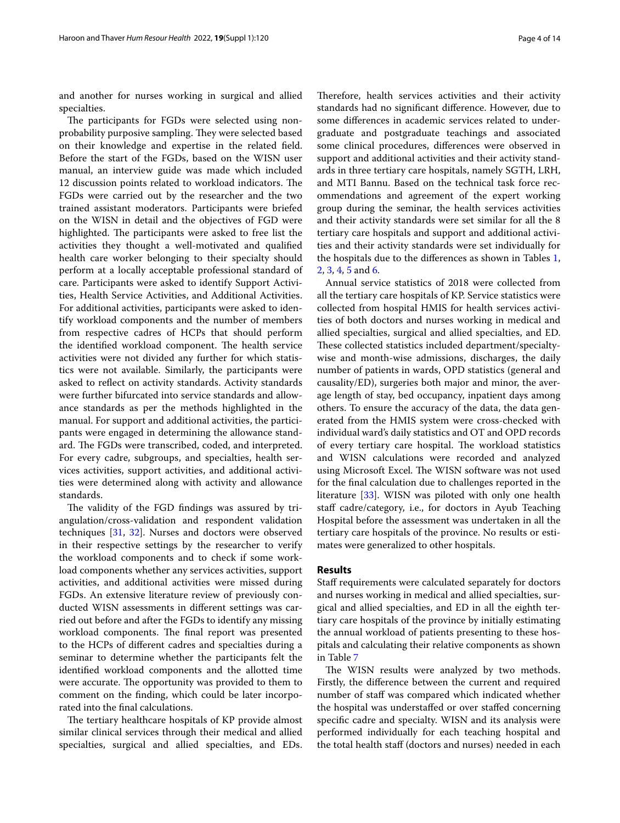and another for nurses working in surgical and allied specialties.

The participants for FGDs were selected using nonprobability purposive sampling. They were selected based on their knowledge and expertise in the related feld. Before the start of the FGDs, based on the WISN user manual, an interview guide was made which included 12 discussion points related to workload indicators. The FGDs were carried out by the researcher and the two trained assistant moderators. Participants were briefed on the WISN in detail and the objectives of FGD were highlighted. The participants were asked to free list the activities they thought a well-motivated and qualifed health care worker belonging to their specialty should perform at a locally acceptable professional standard of care. Participants were asked to identify Support Activities, Health Service Activities, and Additional Activities. For additional activities, participants were asked to identify workload components and the number of members from respective cadres of HCPs that should perform the identified workload component. The health service activities were not divided any further for which statistics were not available. Similarly, the participants were asked to refect on activity standards. Activity standards were further bifurcated into service standards and allowance standards as per the methods highlighted in the manual. For support and additional activities, the participants were engaged in determining the allowance standard. The FGDs were transcribed, coded, and interpreted. For every cadre, subgroups, and specialties, health services activities, support activities, and additional activities were determined along with activity and allowance standards.

The validity of the FGD findings was assured by triangulation/cross-validation and respondent validation techniques [\[31](#page-12-23), [32](#page-12-24)]. Nurses and doctors were observed in their respective settings by the researcher to verify the workload components and to check if some workload components whether any services activities, support activities, and additional activities were missed during FGDs. An extensive literature review of previously conducted WISN assessments in diferent settings was carried out before and after the FGDs to identify any missing workload components. The final report was presented to the HCPs of diferent cadres and specialties during a seminar to determine whether the participants felt the identifed workload components and the allotted time were accurate. The opportunity was provided to them to comment on the fnding, which could be later incorporated into the fnal calculations.

The tertiary healthcare hospitals of KP provide almost similar clinical services through their medical and allied specialties, surgical and allied specialties, and EDs.

Therefore, health services activities and their activity standards had no signifcant diference. However, due to some diferences in academic services related to undergraduate and postgraduate teachings and associated some clinical procedures, diferences were observed in support and additional activities and their activity standards in three tertiary care hospitals, namely SGTH, LRH, and MTI Bannu. Based on the technical task force recommendations and agreement of the expert working group during the seminar, the health services activities and their activity standards were set similar for all the 8 tertiary care hospitals and support and additional activities and their activity standards were set individually for the hospitals due to the diferences as shown in Tables [1](#page-4-0), [2,](#page-5-0) [3](#page-5-1), [4,](#page-5-2) [5](#page-5-3) and [6.](#page-6-0)

Annual service statistics of 2018 were collected from all the tertiary care hospitals of KP. Service statistics were collected from hospital HMIS for health services activities of both doctors and nurses working in medical and allied specialties, surgical and allied specialties, and ED. These collected statistics included department/specialtywise and month-wise admissions, discharges, the daily number of patients in wards, OPD statistics (general and causality/ED), surgeries both major and minor, the average length of stay, bed occupancy, inpatient days among others. To ensure the accuracy of the data, the data generated from the HMIS system were cross-checked with individual ward's daily statistics and OT and OPD records of every tertiary care hospital. The workload statistics and WISN calculations were recorded and analyzed using Microsoft Excel. The WISN software was not used for the fnal calculation due to challenges reported in the literature [\[33](#page-12-25)]. WISN was piloted with only one health staff cadre/category, i.e., for doctors in Ayub Teaching Hospital before the assessment was undertaken in all the tertiary care hospitals of the province. No results or estimates were generalized to other hospitals.

#### **Results**

Staff requirements were calculated separately for doctors and nurses working in medical and allied specialties, surgical and allied specialties, and ED in all the eighth tertiary care hospitals of the province by initially estimating the annual workload of patients presenting to these hospitals and calculating their relative components as shown in Table [7](#page-7-0)

The WISN results were analyzed by two methods. Firstly, the diference between the current and required number of staff was compared which indicated whether the hospital was understafed or over stafed concerning specifc cadre and specialty. WISN and its analysis were performed individually for each teaching hospital and the total health staf (doctors and nurses) needed in each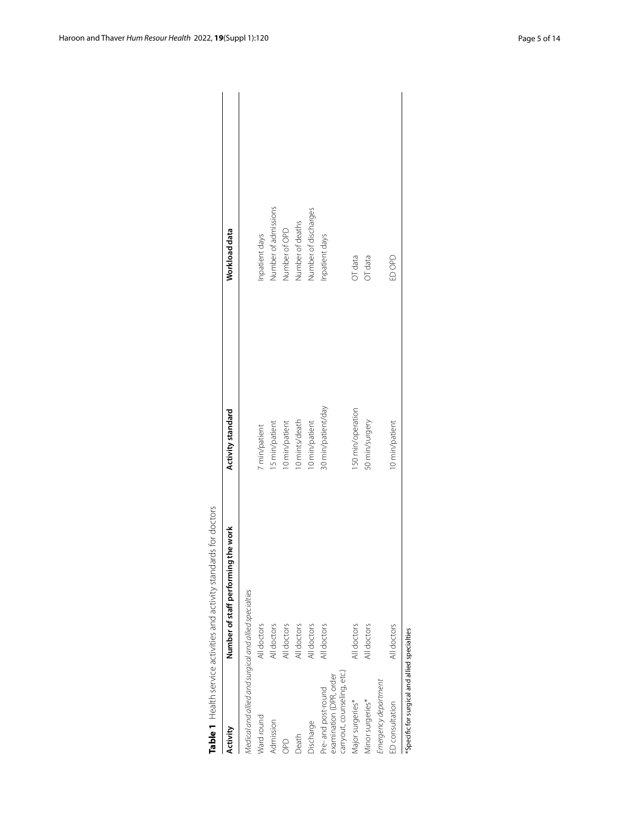| Table 1 Health service activities and activity                               | standards for doctors               |                    |                      |
|------------------------------------------------------------------------------|-------------------------------------|--------------------|----------------------|
| Activity                                                                     | Number of staff performing the work | Activity standard  | Workload data        |
| Medical and allied and surgical and allied specialties                       |                                     |                    |                      |
| Ward round                                                                   | All doctors                         | 7 min/patient      | inpatient days       |
| Admission                                                                    | All doctors                         | 15 min/patient     | Number of admissions |
| OPD                                                                          | All doctors                         | 10 min/patient     | Number of OPD        |
| Death                                                                        | All doctors                         | 10 mints/death     | Number of deaths     |
| Discharge                                                                    | All doctors                         | 10 min/patient     | Number of discharges |
| carryout, counseling, etc.)<br>examination (DPR, order<br>Pre-and post-round | All doctors                         | 30 min/patient/day | npatient days        |
| Major surgeries*                                                             | All doctors                         | 150 min/operation  | OT data              |
| Minor surgeries*                                                             | All doctors                         | 50 min/surgery     | OT data              |
| Emergency department                                                         |                                     |                    |                      |
| ED consultation                                                              | All doctors                         | 10 min/patient     | EDOPD                |
| *Specific for surgical and allied specialties                                |                                     |                    |                      |

<span id="page-4-0"></span>

| I<br>ĺ<br>j                                                                                    |
|------------------------------------------------------------------------------------------------|
|                                                                                                |
| l<br>J<br>I                                                                                    |
| Ī                                                                                              |
| ļ<br>¢<br>֖֖֖֖֖ׅ֖֖֖֖֖֖֖֧֪֪֪֪֪֪֪֪֪֪֪֪֪֪֪֪֪֪֪֪֪֪֪֪֪֪֪֪֪֪֪֪֚֚֚֚֚֚֚֚֚֚֚֚֚֚֚֚֚֚֚֚֚֚֚֚֚֬֡֡֡֡֬֝֬֝֝֓֞֡ |
|                                                                                                |
|                                                                                                |
| ĺ<br>י<br>j                                                                                    |
| $\overline{1}$                                                                                 |
| i                                                                                              |
| ֧֧֚֚֚֚֚֚֚֚֚֚֚֚֚֚֚֚֚֚֚֬֡֡֡֡֡֡֡֡֡֬֝֝                                                             |
|                                                                                                |
|                                                                                                |
| I<br>ļ                                                                                         |
| I                                                                                              |
| I                                                                                              |
| ţ                                                                                              |
| I                                                                                              |
|                                                                                                |
|                                                                                                |
|                                                                                                |
|                                                                                                |
|                                                                                                |
|                                                                                                |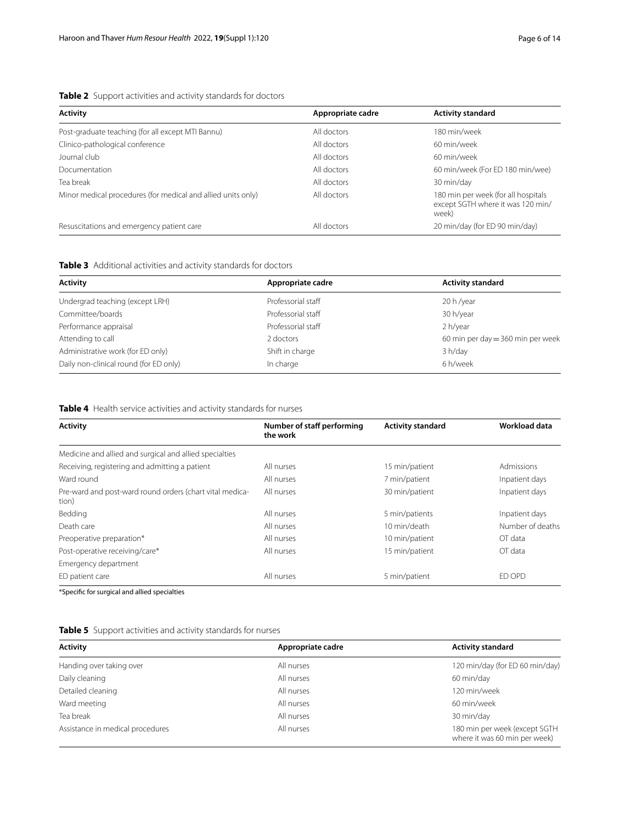## <span id="page-5-0"></span>**Table 2** Support activities and activity standards for doctors

| <b>Activity</b>                                              | Appropriate cadre | <b>Activity standard</b>                                                          |
|--------------------------------------------------------------|-------------------|-----------------------------------------------------------------------------------|
| Post-graduate teaching (for all except MTI Bannu)            | All doctors       | 180 min/week                                                                      |
| Clinico-pathological conference                              | All doctors       | 60 min/week                                                                       |
| Journal club                                                 | All doctors       | 60 min/week                                                                       |
| Documentation                                                | All doctors       | 60 min/week (For ED 180 min/wee)                                                  |
| Tea break                                                    | All doctors       | 30 min/day                                                                        |
| Minor medical procedures (for medical and allied units only) | All doctors       | 180 min per week (for all hospitals<br>except SGTH where it was 120 min/<br>week) |
| Resuscitations and emergency patient care                    | All doctors       | 20 min/day (for ED 90 min/day)                                                    |

## <span id="page-5-1"></span>**Table 3** Additional activities and activity standards for doctors

| <b>Activity</b>                        | Appropriate cadre  | <b>Activity standard</b>            |
|----------------------------------------|--------------------|-------------------------------------|
| Undergrad teaching (except LRH)        | Professorial staff | 20 h/year                           |
| Committee/boards                       | Professorial staff | 30 h/year                           |
| Performance appraisal                  | Professorial staff | 2 h/year                            |
| Attending to call                      | 2 doctors          | 60 min per day $=$ 360 min per week |
| Administrative work (for ED only)      | Shift in charge    | 3 h/day                             |
| Daily non-clinical round (for ED only) | In charge          | 6 h/week                            |

## <span id="page-5-2"></span>**Table 4** Health service activities and activity standards for nurses

| <b>Activity</b>                                                   | Number of staff performing<br>the work | <b>Activity standard</b> | Workload data    |
|-------------------------------------------------------------------|----------------------------------------|--------------------------|------------------|
| Medicine and allied and surgical and allied specialties           |                                        |                          |                  |
| Receiving, registering and admitting a patient                    | All nurses                             | 15 min/patient           | Admissions       |
| Ward round                                                        | All nurses                             | 7 min/patient            | Inpatient days   |
| Pre-ward and post-ward round orders (chart vital medica-<br>tion) | All nurses                             | 30 min/patient           | Inpatient days   |
| Bedding                                                           | All nurses                             | 5 min/patients           | Inpatient days   |
| Death care                                                        | All nurses                             | 10 min/death             | Number of deaths |
| Preoperative preparation*                                         | All nurses                             | 10 min/patient           | OT data          |
| Post-operative receiving/care*                                    | All nurses                             | 15 min/patient           | OT data          |
| Emergency department                                              |                                        |                          |                  |
| ED patient care                                                   | All nurses                             | 5 min/patient            | ED OPD           |
| *Specific for surgical and allied specialties                     |                                        |                          |                  |

<span id="page-5-3"></span>

| <b>Activity</b>                  | Appropriate cadre | <b>Activity standard</b>                                       |
|----------------------------------|-------------------|----------------------------------------------------------------|
| Handing over taking over         | All nurses        | 120 min/day (for ED 60 min/day)                                |
| Daily cleaning                   | All nurses        | 60 min/day                                                     |
| Detailed cleaning                | All nurses        | 120 min/week                                                   |
| Ward meeting                     | All nurses        | 60 min/week                                                    |
| Tea break                        | All nurses        | 30 min/day                                                     |
| Assistance in medical procedures | All nurses        | 180 min per week (except SGTH<br>where it was 60 min per week) |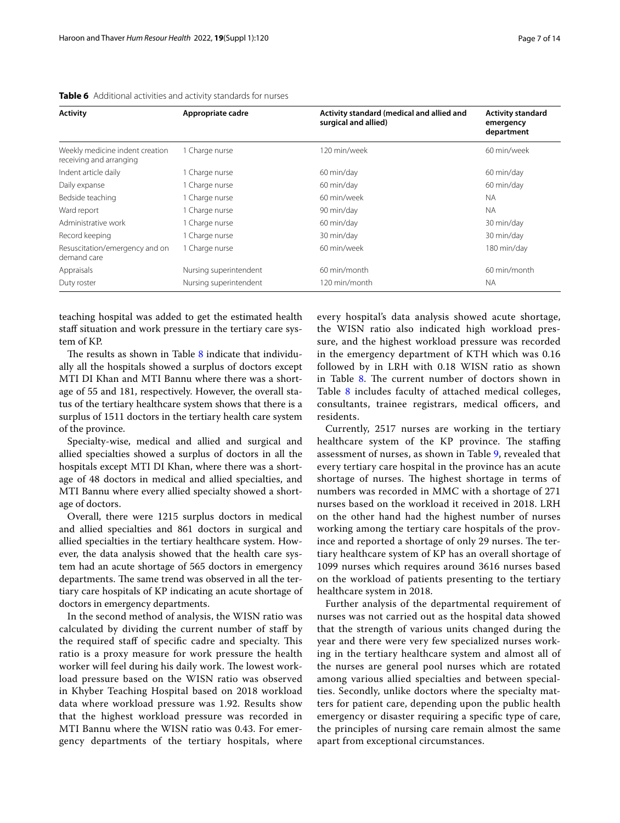| <b>Activity</b>                                            | Appropriate cadre      | Activity standard (medical and allied and<br>surgical and allied) | <b>Activity standard</b><br>emergency<br>department |
|------------------------------------------------------------|------------------------|-------------------------------------------------------------------|-----------------------------------------------------|
| Weekly medicine indent creation<br>receiving and arranging | 1 Charge nurse         | 120 min/week                                                      | 60 min/week                                         |
| Indent article daily                                       | Charge nurse           | 60 min/day                                                        | 60 min/day                                          |
| Daily expanse                                              | 1 Charge nurse         | 60 min/day                                                        | 60 min/day                                          |
| Bedside teaching                                           | 1 Charge nurse         | 60 min/week                                                       | <b>NA</b>                                           |
| Ward report                                                | I Charge nurse         | 90 min/day                                                        | <b>NA</b>                                           |
| Administrative work                                        | 1 Charge nurse         | 60 min/day                                                        | 30 min/day                                          |
| Record keeping                                             | 1 Charge nurse         | 30 min/day                                                        | 30 min/day                                          |
| Resuscitation/emergency and on<br>demand care              | 1 Charge nurse         | 60 min/week                                                       | 180 min/day                                         |
| Appraisals                                                 | Nursing superintendent | 60 min/month                                                      | 60 min/month                                        |
| Duty roster                                                | Nursing superintendent | 120 min/month                                                     | <b>NA</b>                                           |

<span id="page-6-0"></span>**Table 6** Additional activities and activity standards for nurses

teaching hospital was added to get the estimated health staff situation and work pressure in the tertiary care system of KP.

The results as shown in Table  $8$  indicate that individually all the hospitals showed a surplus of doctors except MTI DI Khan and MTI Bannu where there was a shortage of 55 and 181, respectively. However, the overall status of the tertiary healthcare system shows that there is a surplus of 1511 doctors in the tertiary health care system of the province.

Specialty-wise, medical and allied and surgical and allied specialties showed a surplus of doctors in all the hospitals except MTI DI Khan, where there was a shortage of 48 doctors in medical and allied specialties, and MTI Bannu where every allied specialty showed a shortage of doctors.

Overall, there were 1215 surplus doctors in medical and allied specialties and 861 doctors in surgical and allied specialties in the tertiary healthcare system. However, the data analysis showed that the health care system had an acute shortage of 565 doctors in emergency departments. The same trend was observed in all the tertiary care hospitals of KP indicating an acute shortage of doctors in emergency departments.

In the second method of analysis, the WISN ratio was calculated by dividing the current number of staf by the required staff of specific cadre and specialty. This ratio is a proxy measure for work pressure the health worker will feel during his daily work. The lowest workload pressure based on the WISN ratio was observed in Khyber Teaching Hospital based on 2018 workload data where workload pressure was 1.92. Results show that the highest workload pressure was recorded in MTI Bannu where the WISN ratio was 0.43. For emergency departments of the tertiary hospitals, where

every hospital's data analysis showed acute shortage, the WISN ratio also indicated high workload pressure, and the highest workload pressure was recorded in the emergency department of KTH which was 0.16 followed by in LRH with 0.18 WISN ratio as shown in Table  $8$ . The current number of doctors shown in Table [8](#page-8-0) includes faculty of attached medical colleges, consultants, trainee registrars, medical officers, and residents.

Currently, 2517 nurses are working in the tertiary healthcare system of the KP province. The staffing assessment of nurses, as shown in Table [9](#page-8-1), revealed that every tertiary care hospital in the province has an acute shortage of nurses. The highest shortage in terms of numbers was recorded in MMC with a shortage of 271 nurses based on the workload it received in 2018. LRH on the other hand had the highest number of nurses working among the tertiary care hospitals of the province and reported a shortage of only 29 nurses. The tertiary healthcare system of KP has an overall shortage of 1099 nurses which requires around 3616 nurses based on the workload of patients presenting to the tertiary healthcare system in 2018.

Further analysis of the departmental requirement of nurses was not carried out as the hospital data showed that the strength of various units changed during the year and there were very few specialized nurses working in the tertiary healthcare system and almost all of the nurses are general pool nurses which are rotated among various allied specialties and between specialties. Secondly, unlike doctors where the specialty matters for patient care, depending upon the public health emergency or disaster requiring a specifc type of care, the principles of nursing care remain almost the same apart from exceptional circumstances.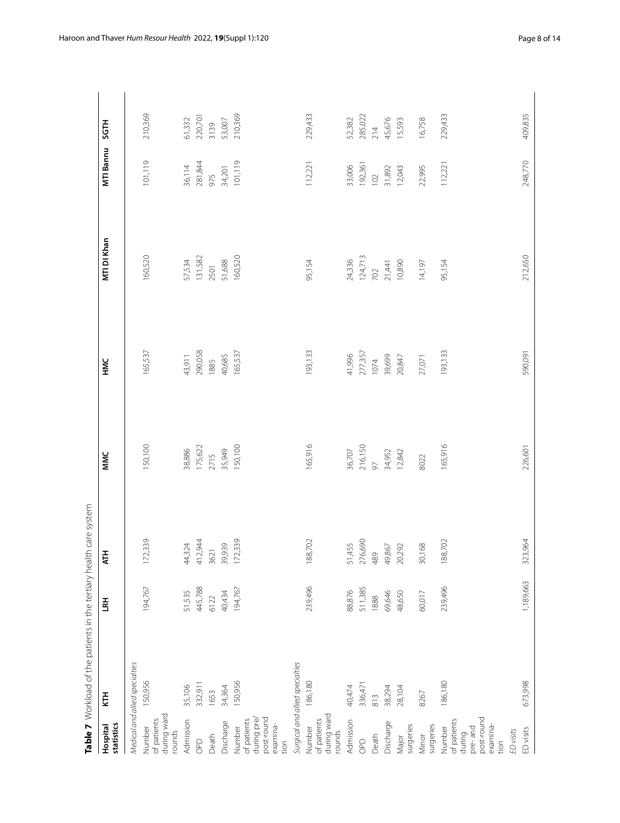|                                                                              | Table 7 Workload of the patients in the tertiary health care system |           |                                                 |                                                |                                               |                                                |                                               |                                                |
|------------------------------------------------------------------------------|---------------------------------------------------------------------|-----------|-------------------------------------------------|------------------------------------------------|-----------------------------------------------|------------------------------------------------|-----------------------------------------------|------------------------------------------------|
| statistics<br>Hospital                                                       | Ě                                                                   | 로         | Ę                                               | MMC                                            | УMF                                           | MTI DI Khan                                    | <b>MTI Bannu</b>                              | <b>SGTH</b>                                    |
|                                                                              | Medical and allied specialties                                      |           |                                                 |                                                |                                               |                                                |                                               |                                                |
| during ward<br>rounds<br>of patients<br>Number                               | 150,956                                                             | 194,767   | 172,339                                         | 150,100                                        | 165,537                                       | 160,520                                        | 101,119                                       | 210,369                                        |
| Admission                                                                    | 35,106                                                              | 51,535    |                                                 |                                                |                                               |                                                |                                               |                                                |
| $O^{\circ}$                                                                  | 332,911                                                             | 445,788   | 44,324<br>412,944<br>3621<br>39,939<br>172,339  | 38,886<br>175,622<br>2715<br>35,949<br>150,100 | 43,911<br>290,058<br>1885                     | 57,534<br>131,582<br>2501<br>51,688<br>160,520 | 36,114<br>281,844<br>975<br>34,201<br>101,119 | 61,332<br>220,701<br>3139<br>53,007<br>210,369 |
| Death                                                                        | 1653                                                                | 6122      |                                                 |                                                |                                               |                                                |                                               |                                                |
| Discharge                                                                    | 34,364                                                              | 40,434    |                                                 |                                                | 40,685                                        |                                                |                                               |                                                |
| post-round<br>during pre/<br>of patients<br>examina-<br>Number<br>tion       | 150,956                                                             | 194,767   |                                                 |                                                | 165,537                                       |                                                |                                               |                                                |
|                                                                              | Surgical and allied specialties                                     |           |                                                 |                                                |                                               |                                                |                                               |                                                |
| during ward<br>of patients<br>Number<br>rounds                               | 186,180                                                             | 239,496   | 188,702                                         | 165,916                                        | 193,133                                       | 95,154                                         | 112,221                                       | 229,433                                        |
| Admission                                                                    | 40,474                                                              | 88,876    |                                                 |                                                |                                               |                                                |                                               |                                                |
| $O^{\circ}$                                                                  | 336,471                                                             | 511,385   | 51,455<br>276,690<br>49,867<br>49,867<br>20,292 |                                                |                                               |                                                |                                               | 52,382<br>285,022<br>214<br>45,676<br>15,593   |
| Death                                                                        | 813                                                                 | 1888      |                                                 |                                                |                                               |                                                |                                               |                                                |
| Discharge                                                                    | 38,294                                                              | 69,646    |                                                 |                                                |                                               |                                                |                                               |                                                |
| surgeries<br>Major                                                           | 28,104                                                              | 48,650    |                                                 | 36,707<br>216,150<br>97<br>34,952<br>12,842    | 41,996<br>277,357<br>1074<br>39,699<br>20,847 | 24,336<br>124,713<br>702<br>10,890             | 33,006<br>192,361<br>102<br>11,892<br>12,043  |                                                |
| surgeries<br>Minor                                                           | 8267                                                                | 60,017    | 30,168                                          | 8022                                           | 27,071                                        | 14,197                                         | 22,995                                        | 16,758                                         |
| post-round<br>of patients<br>examina-<br>during<br>pre-and<br>Number<br>tion | 186,180                                                             | 239,496   | 188,702                                         | 165,916                                        | 193,133                                       | 95,154                                         | 112,221                                       | 229,433                                        |
| ED visits                                                                    |                                                                     |           |                                                 |                                                |                                               |                                                |                                               |                                                |
| ED visits                                                                    | 673,998                                                             | 1,189,663 | 323,964                                         | 226,601                                        | 590,091                                       | 212,650                                        | 248,770                                       | 409,835                                        |

<span id="page-7-0"></span>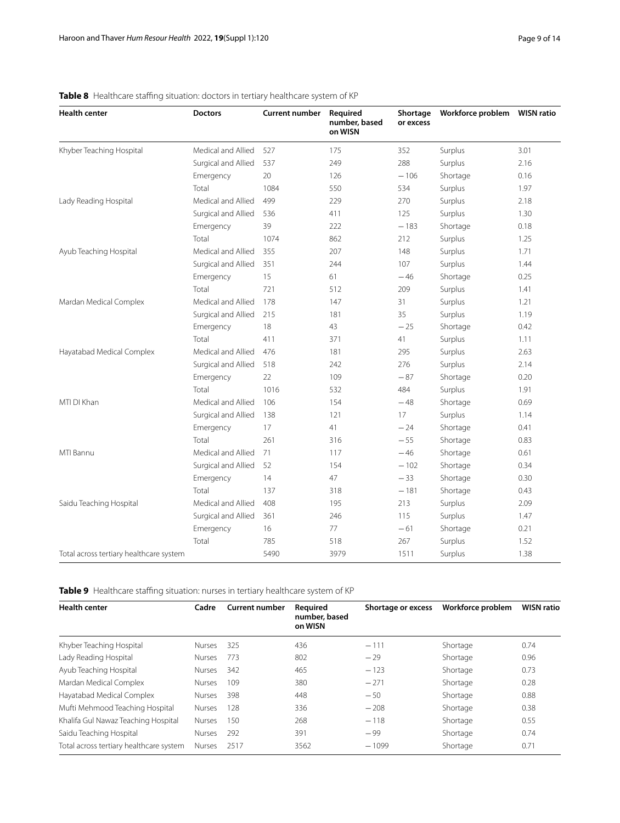| <b>Health center</b>                    | <b>Doctors</b>      | <b>Current number</b> | Required<br>number, based<br>on WISN | Shortage<br>or excess |          |      |
|-----------------------------------------|---------------------|-----------------------|--------------------------------------|-----------------------|----------|------|
| Khyber Teaching Hospital                | Medical and Allied  | 527                   | 175                                  | 352                   | Surplus  | 3.01 |
|                                         | Surgical and Allied | 537                   | 249                                  | 288                   | Surplus  | 2.16 |
|                                         | Emergency           | 20                    | 126                                  | $-106$                | Shortage | 0.16 |
|                                         | Total               | 1084                  | 550                                  | 534                   | Surplus  | 1.97 |
| Lady Reading Hospital                   | Medical and Allied  | 499                   | 229                                  | 270                   | Surplus  | 2.18 |
|                                         | Surgical and Allied | 536                   | 411                                  | 125                   | Surplus  | 1.30 |
|                                         | Emergency           | 39                    | 222                                  | $-183$                | Shortage | 0.18 |
|                                         | Total               | 1074                  | 862                                  | 212                   | Surplus  | 1.25 |
| Ayub Teaching Hospital                  | Medical and Allied  | 355                   | 207                                  | 148                   | Surplus  | 1.71 |
|                                         | Surgical and Allied | 351                   | 244                                  | 107                   | Surplus  | 1.44 |
|                                         | Emergency           | 15                    | 61                                   | $-46$                 | Shortage | 0.25 |
|                                         | Total               | 721                   | 512                                  | 209                   | Surplus  | 1.41 |
| Mardan Medical Complex                  | Medical and Allied  | 178                   | 147                                  | 31                    | Surplus  | 1.21 |
|                                         | Surgical and Allied | 215                   | 181                                  | 35                    | Surplus  | 1.19 |
|                                         | Emergency           | 18                    | 43                                   | $-25$                 | Shortage | 0.42 |
|                                         | Total               | 411                   | 371                                  | 41                    | Surplus  | 1.11 |
| Hayatabad Medical Complex               | Medical and Allied  | 476                   | 181                                  | 295                   | Surplus  | 2.63 |
|                                         | Surgical and Allied | 518                   | 242                                  | 276                   | Surplus  | 2.14 |
|                                         | Emergency           | 22                    | 109                                  | $-87$                 | Shortage | 0.20 |
|                                         | Total               | 1016                  | 532                                  | 484                   | Surplus  | 1.91 |
| MTI DI Khan                             | Medical and Allied  | 106                   | 154                                  | $-48$                 | Shortage | 0.69 |
|                                         | Surgical and Allied | 138                   | 121                                  | 17                    | Surplus  | 1.14 |
|                                         | Emergency           | 17                    | 41                                   | $-24$                 | Shortage | 0.41 |
|                                         | Total               | 261                   | 316                                  | $-55$                 | Shortage | 0.83 |
| MTI Bannu                               | Medical and Allied  | 71                    | 117                                  | $-46$                 | Shortage | 0.61 |
|                                         | Surgical and Allied | 52                    | 154                                  | $-102$                | Shortage | 0.34 |
|                                         | Emergency           | 14                    | 47                                   | $-33$                 | Shortage | 0.30 |
|                                         | Total               | 137                   | 318                                  | $-181$                | Shortage | 0.43 |
| Saidu Teaching Hospital                 | Medical and Allied  | 408                   | 195                                  | 213                   | Surplus  | 2.09 |
|                                         | Surgical and Allied | 361                   | 246                                  | 115                   | Surplus  | 1.47 |
|                                         | Emergency           | 16                    | 77                                   | $-61$                 | Shortage | 0.21 |
|                                         | Total               | 785                   | 518                                  | 267                   | Surplus  | 1.52 |
| Total across tertiary healthcare system |                     | 5490                  | 3979                                 | 1511                  | Surplus  | 1.38 |

## <span id="page-8-0"></span>Table 8 Healthcare staffing situation: doctors in tertiary healthcare system of KP

<span id="page-8-1"></span>Table 9 Healthcare staffing situation: nurses in tertiary healthcare system of KP

| <b>Health center</b>                    | Cadre         | <b>Current number</b> | Required<br>number, based<br>on WISN | Shortage or excess | Workforce problem | <b>WISN ratio</b> |
|-----------------------------------------|---------------|-----------------------|--------------------------------------|--------------------|-------------------|-------------------|
| Khyber Teaching Hospital                | <b>Nurses</b> | 325                   | 436                                  | $-111$             | Shortage          | 0.74              |
| Lady Reading Hospital                   | <b>Nurses</b> | 773                   | 802                                  | $-29$              | Shortage          | 0.96              |
| Ayub Teaching Hospital                  | <b>Nurses</b> | 342                   | 465                                  | $-123$             | Shortage          | 0.73              |
| Mardan Medical Complex                  | <b>Nurses</b> | 109                   | 380                                  | $-271$             | Shortage          | 0.28              |
| Hayatabad Medical Complex               | <b>Nurses</b> | 398                   | 448                                  | $-50$              | Shortage          | 0.88              |
| Mufti Mehmood Teaching Hospital         | <b>Nurses</b> | 128                   | 336                                  | $-208$             | Shortage          | 0.38              |
| Khalifa Gul Nawaz Teaching Hospital     | <b>Nurses</b> | 150                   | 268                                  | $-118$             | Shortage          | 0.55              |
| Saidu Teaching Hospital                 | <b>Nurses</b> | 292                   | 391                                  | $-99$              | Shortage          | 0.74              |
| Total across tertiary healthcare system | <b>Nurses</b> | 2517                  | 3562                                 | $-1099$            | Shortage          | 0.71              |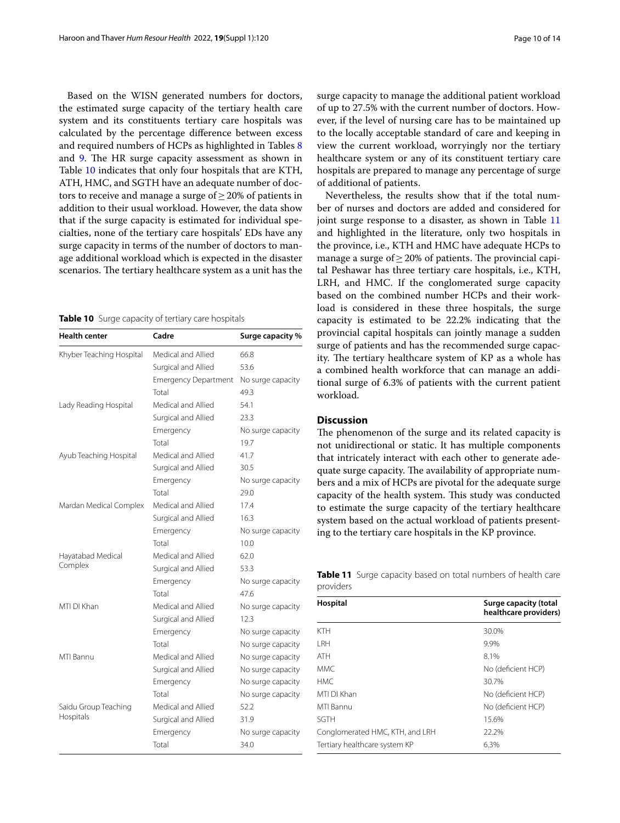Based on the WISN generated numbers for doctors, the estimated surge capacity of the tertiary health care system and its constituents tertiary care hospitals was calculated by the percentage diference between excess and required numbers of HCPs as highlighted in Tables [8](#page-8-0) and [9](#page-8-1). The HR surge capacity assessment as shown in Table [10](#page-9-0) indicates that only four hospitals that are KTH, ATH, HMC, and SGTH have an adequate number of doctors to receive and manage a surge of  $\geq$  20% of patients in addition to their usual workload. However, the data show that if the surge capacity is estimated for individual specialties, none of the tertiary care hospitals' EDs have any surge capacity in terms of the number of doctors to manage additional workload which is expected in the disaster scenarios. The tertiary healthcare system as a unit has the

<span id="page-9-0"></span>**Table 10** Surge capacity of tertiary care hospitals

| <b>Health center</b>              | Cadre                       | Surge capacity %  |
|-----------------------------------|-----------------------------|-------------------|
| Khyber Teaching Hospital          | Medical and Allied          | 66.8              |
|                                   | Surgical and Allied         | 53.6              |
|                                   | <b>Emergency Department</b> | No surge capacity |
|                                   | Total                       | 49.3              |
| Lady Reading Hospital             | Medical and Allied          | 54.1              |
|                                   | Surgical and Allied         | 23.3              |
|                                   | Emergency                   | No surge capacity |
|                                   | Total                       | 19.7              |
| Ayub Teaching Hospital            | Medical and Allied          | 41.7              |
|                                   | Surgical and Allied         | 30.5              |
|                                   | Emergency                   | No surge capacity |
|                                   | Total                       | 29.0              |
| Mardan Medical Complex            | Medical and Allied          | 17.4              |
|                                   | Surgical and Allied         | 16.3              |
|                                   | Emergency                   | No surge capacity |
|                                   | Total                       | 10.0              |
| Hayatabad Medical<br>Complex      | Medical and Allied          | 62.0              |
|                                   | Surgical and Allied         | 53.3              |
|                                   | Emergency                   | No surge capacity |
|                                   | Total                       | 47.6              |
| MTI DI Khan                       | Medical and Allied          | No surge capacity |
|                                   | Surgical and Allied         | 12.3              |
|                                   | Emergency                   | No surge capacity |
|                                   | Total                       | No surge capacity |
| MTI Bannu                         | Medical and Allied          | No surge capacity |
|                                   | Surgical and Allied         | No surge capacity |
|                                   | Emergency                   | No surge capacity |
|                                   | Total                       | No surge capacity |
| Saidu Group Teaching<br>Hospitals | Medical and Allied          | 52.2              |
|                                   | Surgical and Allied         | 31.9              |
|                                   | Emergency                   | No surge capacity |
|                                   | Total                       | 34.0              |

surge capacity to manage the additional patient workload of up to 27.5% with the current number of doctors. However, if the level of nursing care has to be maintained up to the locally acceptable standard of care and keeping in view the current workload, worryingly nor the tertiary healthcare system or any of its constituent tertiary care hospitals are prepared to manage any percentage of surge of additional of patients.

Nevertheless, the results show that if the total number of nurses and doctors are added and considered for joint surge response to a disaster, as shown in Table [11](#page-9-1) and highlighted in the literature, only two hospitals in the province, i.e., KTH and HMC have adequate HCPs to manage a surge of  $\geq$  20% of patients. The provincial capital Peshawar has three tertiary care hospitals, i.e., KTH, LRH, and HMC. If the conglomerated surge capacity based on the combined number HCPs and their workload is considered in these three hospitals, the surge capacity is estimated to be 22.2% indicating that the provincial capital hospitals can jointly manage a sudden surge of patients and has the recommended surge capacity. The tertiary healthcare system of KP as a whole has a combined health workforce that can manage an additional surge of 6.3% of patients with the current patient workload.

## **Discussion**

The phenomenon of the surge and its related capacity is not unidirectional or static. It has multiple components that intricately interact with each other to generate adequate surge capacity. The availability of appropriate numbers and a mix of HCPs are pivotal for the adequate surge capacity of the health system. This study was conducted to estimate the surge capacity of the tertiary healthcare system based on the actual workload of patients presenting to the tertiary care hospitals in the KP province.

<span id="page-9-1"></span>**Table 11** Surge capacity based on total numbers of health care providers

| Hospital                        | Surge capacity (total<br>healthcare providers) |
|---------------------------------|------------------------------------------------|
| <b>KTH</b>                      | 30.0%                                          |
| I RH                            | 9.9%                                           |
| <b>ATH</b>                      | 8.1%                                           |
| MMC.                            | No (deficient HCP)                             |
| HMC.                            | 30.7%                                          |
| MTI DI Khan                     | No (deficient HCP)                             |
| MTI Bannu                       | No (deficient HCP)                             |
| SGTH                            | 15.6%                                          |
| Conglomerated HMC, KTH, and LRH | 22.2%                                          |
| Tertiary healthcare system KP   | 6.3%                                           |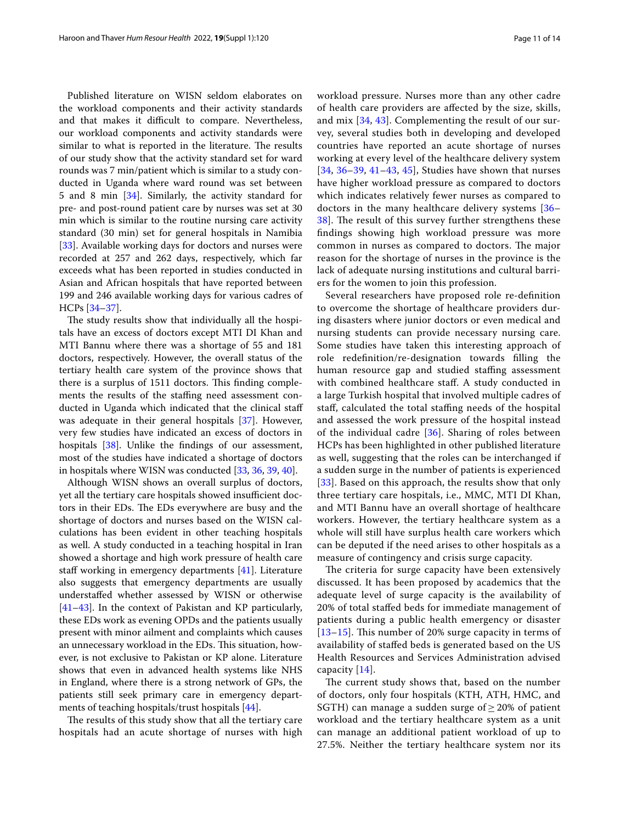Published literature on WISN seldom elaborates on the workload components and their activity standards and that makes it difficult to compare. Nevertheless, our workload components and activity standards were similar to what is reported in the literature. The results of our study show that the activity standard set for ward rounds was 7 min/patient which is similar to a study conducted in Uganda where ward round was set between 5 and 8 min [\[34](#page-13-0)]. Similarly, the activity standard for pre- and post-round patient care by nurses was set at 30 min which is similar to the routine nursing care activity standard (30 min) set for general hospitals in Namibia [[33\]](#page-12-25). Available working days for doctors and nurses were recorded at 257 and 262 days, respectively, which far exceeds what has been reported in studies conducted in Asian and African hospitals that have reported between 199 and 246 available working days for various cadres of HCPs [[34–](#page-13-0)[37\]](#page-13-1).

The study results show that individually all the hospitals have an excess of doctors except MTI DI Khan and MTI Bannu where there was a shortage of 55 and 181 doctors, respectively. However, the overall status of the tertiary health care system of the province shows that there is a surplus of 1511 doctors. This finding complements the results of the staffing need assessment conducted in Uganda which indicated that the clinical staf was adequate in their general hospitals [\[37](#page-13-1)]. However, very few studies have indicated an excess of doctors in hospitals [\[38](#page-13-2)]. Unlike the fndings of our assessment, most of the studies have indicated a shortage of doctors in hospitals where WISN was conducted [[33,](#page-12-25) [36,](#page-13-3) [39](#page-13-4), [40\]](#page-13-5).

Although WISN shows an overall surplus of doctors, yet all the tertiary care hospitals showed insufficient doctors in their EDs. The EDs everywhere are busy and the shortage of doctors and nurses based on the WISN calculations has been evident in other teaching hospitals as well. A study conducted in a teaching hospital in Iran showed a shortage and high work pressure of health care staff working in emergency departments  $[41]$  $[41]$ . Literature also suggests that emergency departments are usually understafed whether assessed by WISN or otherwise [[41–](#page-13-6)[43](#page-13-7)]. In the context of Pakistan and KP particularly, these EDs work as evening OPDs and the patients usually present with minor ailment and complaints which causes an unnecessary workload in the EDs. This situation, however, is not exclusive to Pakistan or KP alone. Literature shows that even in advanced health systems like NHS in England, where there is a strong network of GPs, the patients still seek primary care in emergency departments of teaching hospitals/trust hospitals [[44](#page-13-8)].

The results of this study show that all the tertiary care hospitals had an acute shortage of nurses with high workload pressure. Nurses more than any other cadre of health care providers are afected by the size, skills, and mix [\[34,](#page-13-0) [43\]](#page-13-7). Complementing the result of our survey, several studies both in developing and developed countries have reported an acute shortage of nurses working at every level of the healthcare delivery system [[34](#page-13-0), [36–](#page-13-3)[39,](#page-13-4) [41](#page-13-6)[–43](#page-13-7), [45\]](#page-13-9), Studies have shown that nurses have higher workload pressure as compared to doctors which indicates relatively fewer nurses as compared to doctors in the many healthcare delivery systems [[36–](#page-13-3) [38\]](#page-13-2). The result of this survey further strengthens these fndings showing high workload pressure was more common in nurses as compared to doctors. The major reason for the shortage of nurses in the province is the lack of adequate nursing institutions and cultural barriers for the women to join this profession.

Several researchers have proposed role re-defnition to overcome the shortage of healthcare providers during disasters where junior doctors or even medical and nursing students can provide necessary nursing care. Some studies have taken this interesting approach of role redefnition/re-designation towards flling the human resource gap and studied staffing assessment with combined healthcare staf. A study conducted in a large Turkish hospital that involved multiple cadres of staf, calculated the total stafng needs of the hospital and assessed the work pressure of the hospital instead of the individual cadre [[36\]](#page-13-3). Sharing of roles between HCPs has been highlighted in other published literature as well, suggesting that the roles can be interchanged if a sudden surge in the number of patients is experienced [[33](#page-12-25)]. Based on this approach, the results show that only three tertiary care hospitals, i.e., MMC, MTI DI Khan, and MTI Bannu have an overall shortage of healthcare workers. However, the tertiary healthcare system as a whole will still have surplus health care workers which can be deputed if the need arises to other hospitals as a measure of contingency and crisis surge capacity.

The criteria for surge capacity have been extensively discussed. It has been proposed by academics that the adequate level of surge capacity is the availability of 20% of total stafed beds for immediate management of patients during a public health emergency or disaster  $[13–15]$  $[13–15]$  $[13–15]$  $[13–15]$ . This number of 20% surge capacity in terms of availability of stafed beds is generated based on the US Health Resources and Services Administration advised capacity [[14](#page-12-26)].

The current study shows that, based on the number of doctors, only four hospitals (KTH, ATH, HMC, and SGTH) can manage a sudden surge of  $\geq$  20% of patient workload and the tertiary healthcare system as a unit can manage an additional patient workload of up to 27.5%. Neither the tertiary healthcare system nor its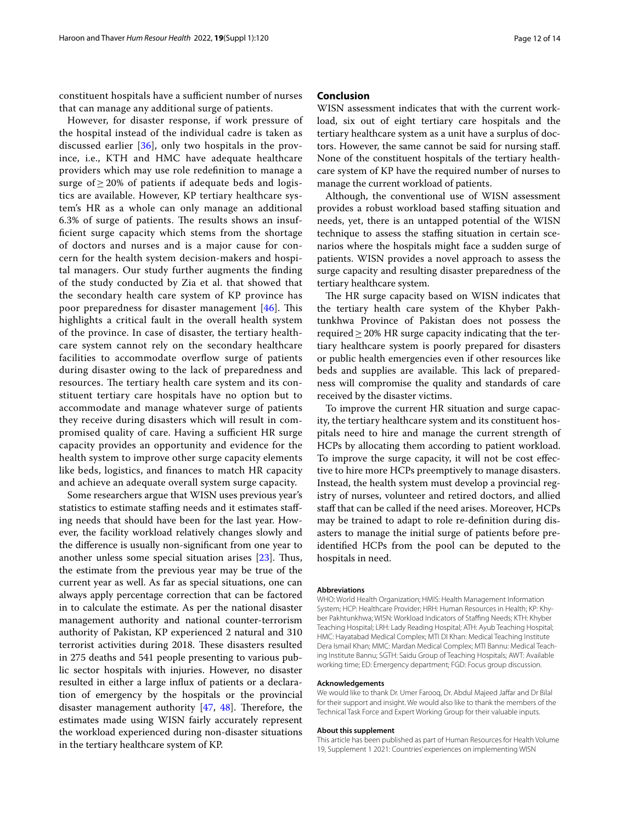constituent hospitals have a sufficient number of nurses that can manage any additional surge of patients.

However, for disaster response, if work pressure of the hospital instead of the individual cadre is taken as discussed earlier [\[36](#page-13-3)], only two hospitals in the province, i.e., KTH and HMC have adequate healthcare providers which may use role redefnition to manage a surge of  $\geq$  20% of patients if adequate beds and logistics are available. However, KP tertiary healthcare system's HR as a whole can only manage an additional 6.3% of surge of patients. The results shows an insuffcient surge capacity which stems from the shortage of doctors and nurses and is a major cause for concern for the health system decision-makers and hospital managers. Our study further augments the fnding of the study conducted by Zia et al. that showed that the secondary health care system of KP province has poor preparedness for disaster management  $[46]$ . This highlights a critical fault in the overall health system of the province. In case of disaster, the tertiary healthcare system cannot rely on the secondary healthcare facilities to accommodate overflow surge of patients during disaster owing to the lack of preparedness and resources. The tertiary health care system and its constituent tertiary care hospitals have no option but to accommodate and manage whatever surge of patients they receive during disasters which will result in compromised quality of care. Having a sufficient HR surge capacity provides an opportunity and evidence for the health system to improve other surge capacity elements like beds, logistics, and fnances to match HR capacity and achieve an adequate overall system surge capacity.

Some researchers argue that WISN uses previous year's statistics to estimate staffing needs and it estimates staffing needs that should have been for the last year. However, the facility workload relatively changes slowly and the diference is usually non-signifcant from one year to another unless some special situation arises  $[23]$  $[23]$ . Thus, the estimate from the previous year may be true of the current year as well. As far as special situations, one can always apply percentage correction that can be factored in to calculate the estimate. As per the national disaster management authority and national counter-terrorism authority of Pakistan, KP experienced 2 natural and 310 terrorist activities during 2018. These disasters resulted in 275 deaths and 541 people presenting to various public sector hospitals with injuries. However, no disaster resulted in either a large infux of patients or a declaration of emergency by the hospitals or the provincial disaster management authority  $[47, 48]$  $[47, 48]$  $[47, 48]$  $[47, 48]$ . Therefore, the estimates made using WISN fairly accurately represent the workload experienced during non-disaster situations in the tertiary healthcare system of KP.

#### **Conclusion**

WISN assessment indicates that with the current workload, six out of eight tertiary care hospitals and the tertiary healthcare system as a unit have a surplus of doctors. However, the same cannot be said for nursing staf. None of the constituent hospitals of the tertiary healthcare system of KP have the required number of nurses to manage the current workload of patients.

Although, the conventional use of WISN assessment provides a robust workload based stafng situation and needs, yet, there is an untapped potential of the WISN technique to assess the stafng situation in certain scenarios where the hospitals might face a sudden surge of patients. WISN provides a novel approach to assess the surge capacity and resulting disaster preparedness of the tertiary healthcare system.

The HR surge capacity based on WISN indicates that the tertiary health care system of the Khyber Pakhtunkhwa Province of Pakistan does not possess the required  $\geq$  20% HR surge capacity indicating that the tertiary healthcare system is poorly prepared for disasters or public health emergencies even if other resources like beds and supplies are available. This lack of preparedness will compromise the quality and standards of care received by the disaster victims.

To improve the current HR situation and surge capacity, the tertiary healthcare system and its constituent hospitals need to hire and manage the current strength of HCPs by allocating them according to patient workload. To improve the surge capacity, it will not be cost efective to hire more HCPs preemptively to manage disasters. Instead, the health system must develop a provincial registry of nurses, volunteer and retired doctors, and allied staff that can be called if the need arises. Moreover, HCPs may be trained to adapt to role re-defnition during disasters to manage the initial surge of patients before preidentifed HCPs from the pool can be deputed to the hospitals in need.

#### **Abbreviations**

WHO: World Health Organization; HMIS: Health Management Information System; HCP: Healthcare Provider; HRH: Human Resources in Health; KP: Khyber Pakhtunkhwa; WISN: Workload Indicators of Stafng Needs; KTH: Khyber Teaching Hospital; LRH: Lady Reading Hospital; ATH: Ayub Teaching Hospital; HMC: Hayatabad Medical Complex; MTI DI Khan: Medical Teaching Institute Dera Ismail Khan; MMC: Mardan Medical Complex; MTI Bannu: Medical Teaching Institute Bannu; SGTH: Saidu Group of Teaching Hospitals; AWT: Available working time; ED: Emergency department; FGD: Focus group discussion.

#### **Acknowledgements**

We would like to thank Dr. Umer Farooq, Dr. Abdul Majeed Jaffar and Dr Bilal for their support and insight. We would also like to thank the members of the Technical Task Force and Expert Working Group for their valuable inputs.

#### **About this supplement**

This article has been published as part of Human Resources for Health Volume 19, Supplement 1 2021: Countries' experiences on implementing WISN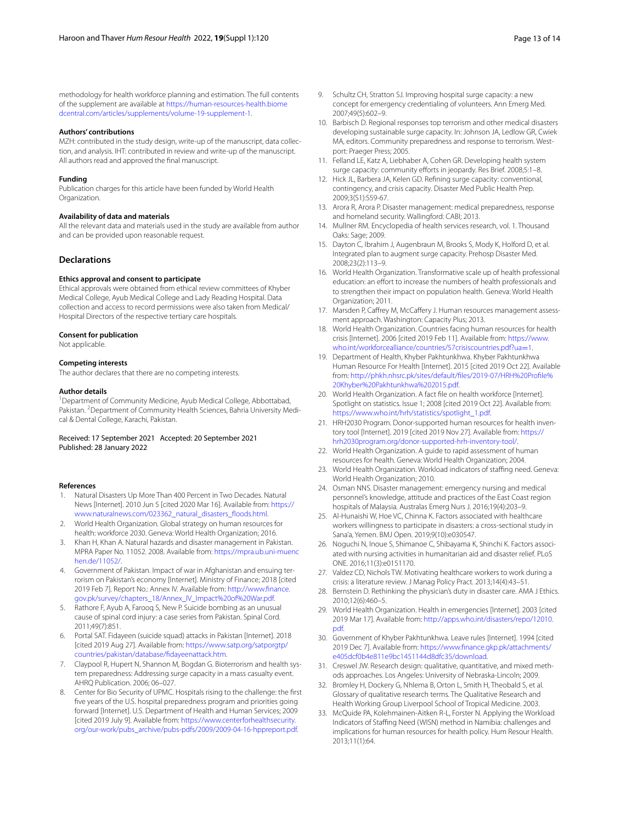methodology for health workforce planning and estimation. The full contents of the supplement are available at [https://human-resources-health.biome](https://human-resources-health.biomedcentral.com/articles/supplements/volume-19-supplement-1) [dcentral.com/articles/supplements/volume-19-supplement-1](https://human-resources-health.biomedcentral.com/articles/supplements/volume-19-supplement-1).

#### **Authors' contributions**

MZH: contributed in the study design, write-up of the manuscript, data collection, and analysis. IHT: contributed in review and write-up of the manuscript. All authors read and approved the fnal manuscript.

#### **Funding**

Publication charges for this article have been funded by World Health Organization.

#### **Availability of data and materials**

All the relevant data and materials used in the study are available from author and can be provided upon reasonable request.

#### **Declarations**

#### **Ethics approval and consent to participate**

Ethical approvals were obtained from ethical review committees of Khyber Medical College, Ayub Medical College and Lady Reading Hospital. Data collection and access to record permissions were also taken from Medical/ Hospital Directors of the respective tertiary care hospitals.

#### **Consent for publication**

Not applicable.

#### **Competing interests**

The author declares that there are no competing interests.

#### **Author details**

<sup>1</sup> Department of Community Medicine, Ayub Medical College, Abbottabad, Pakistan. <sup>2</sup> Department of Community Health Sciences, Bahria University Medical & Dental College, Karachi, Pakistan.

Received: 17 September 2021 Accepted: 20 September 2021 Published: 28 January 2022

#### **References**

- <span id="page-12-0"></span>1. Natural Disasters Up More Than 400 Percent in Two Decades. Natural News [Internet]. 2010 Jun 5 [cited 2020 Mar 16]. Available from: [https://](https://www.naturalnews.com/023362_natural_disasters_floods.html) [www.naturalnews.com/023362\\_natural\\_disasters\\_foods.html.](https://www.naturalnews.com/023362_natural_disasters_floods.html)
- <span id="page-12-1"></span>2. World Health Organization. Global strategy on human resources for health: workforce 2030. Geneva: World Health Organization; 2016.
- <span id="page-12-2"></span>3. Khan H, Khan A. Natural hazards and disaster management in Pakistan. MPRA Paper No. 11052. 2008. Available from: [https://mpra.ub.uni-muenc](https://mpra.ub.uni-muenchen.de/11052/) [hen.de/11052/.](https://mpra.ub.uni-muenchen.de/11052/)
- <span id="page-12-3"></span>4. Government of Pakistan. Impact of war in Afghanistan and ensuing terrorism on Pakistan's economy [Internet]. Ministry of Finance; 2018 [cited 2019 Feb 7]. Report No.: Annex IV. Available from: [http://www.fnance.](http://www.finance.gov.pk/survey/chapters_18/Annex_IV_Impact%20of%20War.pdf) [gov.pk/survey/chapters\\_18/Annex\\_IV\\_Impact%20of%20War.pdf](http://www.finance.gov.pk/survey/chapters_18/Annex_IV_Impact%20of%20War.pdf).
- <span id="page-12-4"></span>5. Rathore F, Ayub A, Farooq S, New P. Suicide bombing as an unusual cause of spinal cord injury: a case series from Pakistan. Spinal Cord. 2011;49(7):851.
- <span id="page-12-5"></span>6. Portal SAT. Fidayeen (suicide squad) attacks in Pakistan [Internet]. 2018 [cited 2019 Aug 27]. Available from: [https://www.satp.org/satporgtp/](https://www.satp.org/satporgtp/countries/pakistan/database/fidayeenattack.htm) [countries/pakistan/database/fdayeenattack.htm](https://www.satp.org/satporgtp/countries/pakistan/database/fidayeenattack.htm).
- <span id="page-12-6"></span>7. Claypool R, Hupert N, Shannon M, Bogdan G. Bioterrorism and health system preparedness: Addressing surge capacity in a mass casualty event. AHRQ Publication. 2006; 06–027.
- <span id="page-12-7"></span>8. Center for Bio Security of UPMC. Hospitals rising to the challenge: the frst fve years of the U.S. hospital preparedness program and priorities going forward [Internet]. U.S. Department of Health and Human Services; 2009 [cited 2019 July 9]. Available from: [https://www.centerforhealthsecurity.](https://www.centerforhealthsecurity.org/our-work/pubs_archive/pubs-pdfs/2009/2009-04-16-hppreport.pdf) [org/our-work/pubs\\_archive/pubs-pdfs/2009/2009-04-16-hppreport.pdf](https://www.centerforhealthsecurity.org/our-work/pubs_archive/pubs-pdfs/2009/2009-04-16-hppreport.pdf).
- <span id="page-12-8"></span>9. Schultz CH, Stratton SJ. Improving hospital surge capacity: a new concept for emergency credentialing of volunteers. Ann Emerg Med. 2007;49(5):602–9.
- <span id="page-12-9"></span>10. Barbisch D. Regional responses top terrorism and other medical disasters developing sustainable surge capacity. In: Johnson JA, Ledlow GR, Cwiek MA, editors. Community preparedness and response to terrorism. Westport: Praeger Press; 2005.
- 11. Felland LE, Katz A, Liebhaber A, Cohen GR. Developing health system surge capacity: community efforts in jeopardy. Res Brief. 2008;5:1-8.
- <span id="page-12-10"></span>12. Hick JL, Barbera JA, Kelen GD. Refning surge capacity: conventional, contingency, and crisis capacity. Disaster Med Public Health Prep. 2009;3(S1):S59-67.
- <span id="page-12-11"></span>13. Arora R, Arora P. Disaster management: medical preparedness, response and homeland security. Wallingford: CABI; 2013.
- <span id="page-12-26"></span>14. Mullner RM. Encyclopedia of health services research, vol. 1. Thousand Oaks: Sage; 2009.
- <span id="page-12-12"></span>15. Dayton C, Ibrahim J, Augenbraun M, Brooks S, Mody K, Holford D, et al. Integrated plan to augment surge capacity. Prehosp Disaster Med. 2008;23(2):113–9.
- <span id="page-12-13"></span>16. World Health Organization. Transformative scale up of health professional education: an effort to increase the numbers of health professionals and to strengthen their impact on population health. Geneva: World Health Organization; 2011.
- <span id="page-12-14"></span>17. Marsden P, Caffrey M, McCaffery J. Human resources management assessment approach. Washington: Capacity Plus; 2013.
- <span id="page-12-15"></span>18. World Health Organization. Countries facing human resources for health crisis [Internet]. 2006 [cited 2019 Feb 11]. Available from: [https://www.](https://www.who.int/workforcealliance/countries/57crisiscountries.pdf?ua=1) [who.int/workforcealliance/countries/57crisiscountries.pdf?ua](https://www.who.int/workforcealliance/countries/57crisiscountries.pdf?ua=1)=1.
- <span id="page-12-16"></span>19. Department of Health, Khyber Pakhtunkhwa. Khyber Pakhtunkhwa Human Resource For Health [Internet]. 2015 [cited 2019 Oct 22]. Available from: [http://phkh.nhsrc.pk/sites/default/fles/2019-07/HRH%20Profle%](http://phkh.nhsrc.pk/sites/default/files/2019-07/HRH%20Profile%20Khyber%20Pakhtunkhwa%202015.pdf) [20Khyber%20Pakhtunkhwa%202015.pdf](http://phkh.nhsrc.pk/sites/default/files/2019-07/HRH%20Profile%20Khyber%20Pakhtunkhwa%202015.pdf).
- <span id="page-12-17"></span>20. World Health Organization. A fact fle on health workforce [Internet]. Spotlight on statistics. Issue 1; 2008 [cited 2019 Oct 22]. Available from: [https://www.who.int/hrh/statistics/spotlight\\_1.pdf.](https://www.who.int/hrh/statistics/spotlight_1.pdf)
- 21. HRH2030 Program. Donor-supported human resources for health inventory tool [Internet]. 2019 [cited 2019 Nov 27]. Available from: [https://](https://hrh2030program.org/donor-supported-hrh-inventory-tool/) [hrh2030program.org/donor-supported-hrh-inventory-tool/.](https://hrh2030program.org/donor-supported-hrh-inventory-tool/)
- <span id="page-12-18"></span>22. World Health Organization. A guide to rapid assessment of human resources for health. Geneva: World Health Organization; 2004.
- <span id="page-12-19"></span>23. World Health Organization. Workload indicators of staffing need. Geneva: World Health Organization; 2010.
- <span id="page-12-20"></span>24. Osman NNS. Disaster management: emergency nursing and medical personnel's knowledge, attitude and practices of the East Coast region hospitals of Malaysia. Australas Emerg Nurs J. 2016;19(4):203–9.
- 25. Al-Hunaishi W, Hoe VC, Chinna K. Factors associated with healthcare workers willingness to participate in disasters: a cross-sectional study in Sana'a, Yemen. BMJ Open. 2019;9(10):e030547.
- 26. Noguchi N, Inoue S, Shimanoe C, Shibayama K, Shinchi K. Factors associated with nursing activities in humanitarian aid and disaster relief. PLoS ONE. 2016;11(3):e0151170.
- 27. Valdez CD, Nichols TW. Motivating healthcare workers to work during a crisis: a literature review. J Manag Policy Pract. 2013;14(4):43–51.
- 28. Bernstein D. Rethinking the physician's duty in disaster care. AMA J Ethics. 2010;12(6):460–5.
- <span id="page-12-21"></span>29. World Health Organization. Health in emergencies [Internet]. 2003 [cited 2019 Mar 17]. Available from: [http://apps.who.int/disasters/repo/12010.](http://apps.who.int/disasters/repo/12010.pdf) [pdf.](http://apps.who.int/disasters/repo/12010.pdf)
- <span id="page-12-22"></span>30. Government of Khyber Pakhtunkhwa. Leave rules [Internet]. 1994 [cited 2019 Dec 7]. Available from: [https://www.fnance.gkp.pk/attachments/](https://www.finance.gkp.pk/attachments/e405dcf0b4e811e9bc1451144d8dfc35/download) [e405dcf0b4e811e9bc1451144d8dfc35/download.](https://www.finance.gkp.pk/attachments/e405dcf0b4e811e9bc1451144d8dfc35/download)
- <span id="page-12-23"></span>31. Creswel JW. Research design: qualitative, quantitative, and mixed methods approaches. Los Angeles: University of Nebraska-Lincoln; 2009.
- <span id="page-12-24"></span>32. Bromley H, Dockery G, Nhlema B, Orton L, Smith H, Theobald S, et al. Glossary of qualitative research terms. The Qualitative Research and Health Working Group Liverpool School of Tropical Medicine. 2003.
- <span id="page-12-25"></span>33. McQuide PA, Kolehmainen-Aitken R-L, Forster N. Applying the Workload Indicators of Stafng Need (WISN) method in Namibia: challenges and implications for human resources for health policy. Hum Resour Health. 2013;11(1):64.